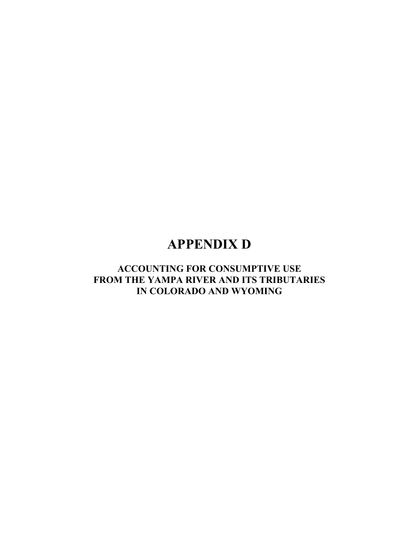# **APPENDIX D**

## **ACCOUNTING FOR CONSUMPTIVE USE FROM THE YAMPA RIVER AND ITS TRIBUTARIES IN COLORADO AND WYOMING**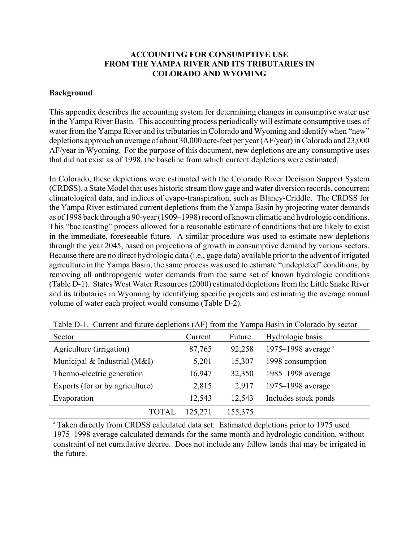## **ACCOUNTING FOR CONSUMPTIVE USE FROM THE YAMPA RIVER AND ITS TRIBUTARIES IN COLORADO AND WYOMING**

### **Background**

This appendix describes the accounting system for determining changes in consumptive water use in the Yampa River Basin. This accounting process periodically will estimate consumptive uses of water from the Yampa River and its tributaries in Colorado and Wyoming and identify when "new" depletions approach an average of about 30,000 acre-feet per year (AF/year) in Colorado and 23,000 AF/year in Wyoming. For the purpose of this document, new depletions are any consumptive uses that did not exist as of 1998, the baseline from which current depletions were estimated.

In Colorado, these depletions were estimated with the Colorado River Decision Support System (CRDSS), a State Model that uses historic stream flow gage and water diversion records, concurrent climatological data, and indices of evapo-transpiration, such as Blaney-Criddle. The CRDSS for the Yampa River estimated current depletions from the Yampa Basin by projecting water demands as of 1998 back through a 90-year (1909–1998) record of known climatic and hydrologic conditions. This "backcasting" process allowed for a reasonable estimate of conditions that are likely to exist in the immediate, foreseeable future. A similar procedure was used to estimate new depletions through the year 2045, based on projections of growth in consumptive demand by various sectors. Because there are no direct hydrologic data (i.e., gage data) available prior to the advent of irrigated agriculture in the Yampa Basin, the same process was used to estimate "undepleted" conditions, by removing all anthropogenic water demands from the same set of known hydrologic conditions (Table D-1). States West Water Resources (2000) estimated depletions from the Little Snake River and its tributaries in Wyoming by identifying specific projects and estimating the average annual volume of water each project would consume (Table D-2).

| Sector                          | Current | Future  | Hydrologic basis                            |
|---------------------------------|---------|---------|---------------------------------------------|
| Agriculture (irrigation)        | 87,765  | 92,258  | 1975–1998 average <sup><math>a</math></sup> |
| Municipal & Industrial (M&I)    | 5,201   | 15,307  | 1998 consumption                            |
| Thermo-electric generation      | 16,947  | 32,350  | 1985–1998 average                           |
| Exports (for or by agriculture) | 2,815   | 2,917   | 1975–1998 average                           |
| Evaporation                     | 12,543  | 12,543  | Includes stock ponds                        |
| TOTAI                           | 125,271 | 155,375 |                                             |

Table D-1. Current and future depletions (AF) from the Yampa Basin in Colorado by sector

<sup>a</sup> Taken directly from CRDSS calculated data set. Estimated depletions prior to 1975 used 1975–1998 average calculated demands for the same month and hydrologic condition, without constraint of net cumulative decree. Does not include any fallow lands that may be irrigated in the future.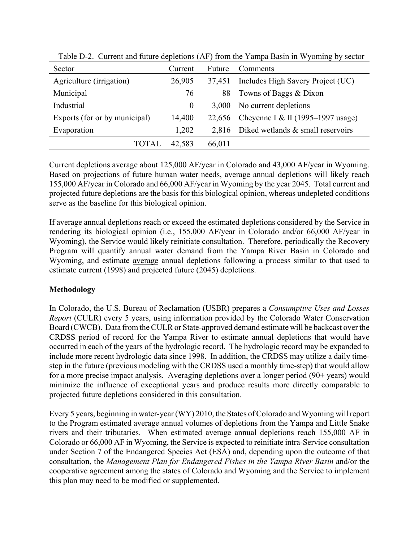| Sector                        | Current  | Future | Comments                                  |  |
|-------------------------------|----------|--------|-------------------------------------------|--|
| Agriculture (irrigation)      | 26,905   | 37,451 | Includes High Savery Project (UC)         |  |
| Municipal                     | 76       | 88     | Towns of Baggs & Dixon                    |  |
| Industrial                    | $\bf{0}$ | 3.000  | No current depletions                     |  |
| Exports (for or by municipal) | 14,400   |        | 22,656 Cheyenne I & II (1995–1997 usage)  |  |
| Evaporation                   | 1,202    |        | 2,816 Diked wetlands $&$ small reservoirs |  |
| TOTAL                         | 42.583   | 66,011 |                                           |  |

Table D-2. Current and future depletions (AF) from the Yampa Basin in Wyoming by sector

Current depletions average about 125,000 AF/year in Colorado and 43,000 AF/year in Wyoming. Based on projections of future human water needs, average annual depletions will likely reach 155,000 AF/year in Colorado and 66,000 AF/year in Wyoming by the year 2045. Total current and projected future depletions are the basis for this biological opinion, whereas undepleted conditions serve as the baseline for this biological opinion.

If average annual depletions reach or exceed the estimated depletions considered by the Service in rendering its biological opinion (i.e., 155,000 AF/year in Colorado and/or 66,000 AF/year in Wyoming), the Service would likely reinitiate consultation. Therefore, periodically the Recovery Program will quantify annual water demand from the Yampa River Basin in Colorado and Wyoming, and estimate average annual depletions following a process similar to that used to estimate current (1998) and projected future (2045) depletions.

## **Methodology**

In Colorado, the U.S. Bureau of Reclamation (USBR) prepares a *Consumptive Uses and Losses Report* (CULR) every 5 years, using information provided by the Colorado Water Conservation Board (CWCB). Data from the CULR or State-approved demand estimate will be backcast over the CRDSS period of record for the Yampa River to estimate annual depletions that would have occurred in each of the years of the hydrologic record. The hydrologic record may be expanded to include more recent hydrologic data since 1998. In addition, the CRDSS may utilize a daily timestep in the future (previous modeling with the CRDSS used a monthly time-step) that would allow for a more precise impact analysis. Averaging depletions over a longer period (90+ years) would minimize the influence of exceptional years and produce results more directly comparable to projected future depletions considered in this consultation.

Every 5 years, beginning in water-year (WY) 2010, the States of Colorado and Wyoming will report to the Program estimated average annual volumes of depletions from the Yampa and Little Snake rivers and their tributaries. When estimated average annual depletions reach 155,000 AF in Colorado or 66,000 AF in Wyoming, the Service is expected to reinitiate intra-Service consultation under Section 7 of the Endangered Species Act (ESA) and, depending upon the outcome of that consultation, the *Management Plan for Endangered Fishes in the Yampa River Basin* and/or the cooperative agreement among the states of Colorado and Wyoming and the Service to implement this plan may need to be modified or supplemented.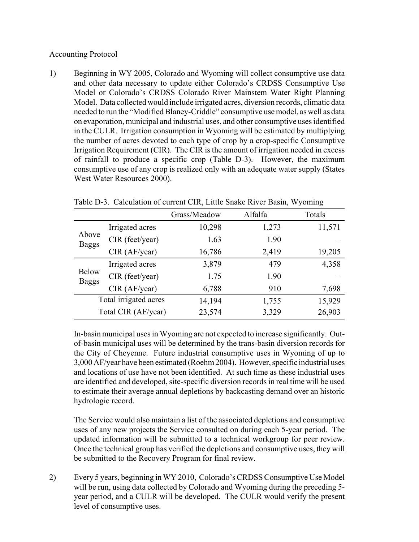### Accounting Protocol

1) Beginning in WY 2005, Colorado and Wyoming will collect consumptive use data and other data necessary to update either Colorado's CRDSS Consumptive Use Model or Colorado's CRDSS Colorado River Mainstem Water Right Planning Model. Data collected would include irrigated acres, diversion records, climatic data needed to run the "Modified Blaney-Criddle" consumptive use model, as well as data on evaporation, municipal and industrial uses, and other consumptive uses identified in the CULR. Irrigation consumption in Wyoming will be estimated by multiplying the number of acres devoted to each type of crop by a crop-specific Consumptive Irrigation Requirement (CIR). The CIR is the amount of irrigation needed in excess of rainfall to produce a specific crop (Table D-3). However, the maximum consumptive use of any crop is realized only with an adequate water supply (States West Water Resources 2000).

|                              |                       | Grass/Meadow | Alfalfa | Totals |
|------------------------------|-----------------------|--------------|---------|--------|
| Above<br><b>Baggs</b>        | Irrigated acres       | 10,298       | 1,273   | 11,571 |
|                              | CIR (feet/year)       | 1.63         | 1.90    |        |
|                              | CIR (AF/year)         | 16,786       | 2,419   | 19,205 |
| <b>Below</b><br><b>Baggs</b> | Irrigated acres       | 3,879        | 479     | 4,358  |
|                              | CIR (feet/year)       | 1.75         | 1.90    |        |
|                              | CIR (AF/year)         | 6,788        | 910     | 7,698  |
|                              | Total irrigated acres | 14,194       | 1,755   | 15,929 |
| Total CIR (AF/year)          |                       | 23,574       | 3,329   | 26,903 |

Table D-3. Calculation of current CIR, Little Snake River Basin, Wyoming

In-basin municipal uses in Wyoming are not expected to increase significantly. Outof-basin municipal uses will be determined by the trans-basin diversion records for the City of Cheyenne. Future industrial consumptive uses in Wyoming of up to 3,000 AF/year have been estimated (Roehm 2004). However, specific industrial uses and locations of use have not been identified. At such time as these industrial uses are identified and developed, site-specific diversion records in real time will be used to estimate their average annual depletions by backcasting demand over an historic hydrologic record.

The Service would also maintain a list of the associated depletions and consumptive uses of any new projects the Service consulted on during each 5-year period. The updated information will be submitted to a technical workgroup for peer review. Once the technical group has verified the depletions and consumptive uses, they will be submitted to the Recovery Program for final review.

2) Every 5 years, beginning in WY 2010, Colorado's CRDSS Consumptive Use Model will be run, using data collected by Colorado and Wyoming during the preceding 5 year period, and a CULR will be developed. The CULR would verify the present level of consumptive uses.